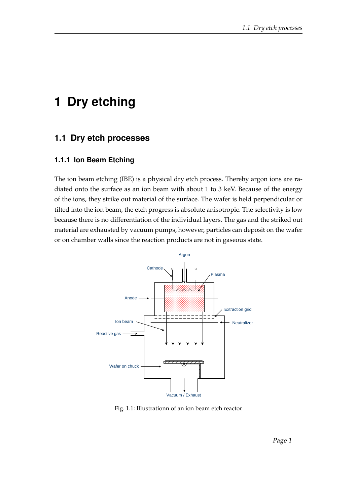# **1 Dry etching**

## **1.1 Dry etch processes**

#### **1.1.1 Ion Beam Etching**

The ion beam etching (IBE) is a physical dry etch process. Thereby argon ions are radiated onto the surface as an ion beam with about 1 to 3 keV. Because of the energy of the ions, they strike out material of the surface. The wafer is held perpendicular or tilted into the ion beam, the etch progress is absolute anisotropic. The selectivity is low because there is no differentiation of the individual layers. The gas and the striked out material are exhausted by vacuum pumps, however, particles can deposit on the wafer or on chamber walls since the reaction products are not in gaseous state.



Fig. 1.1: Illustrationn of an ion beam etch reactor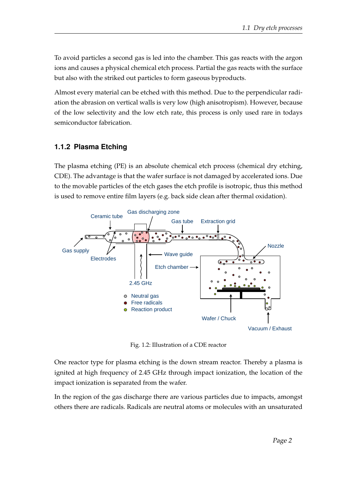To avoid particles a second gas is led into the chamber. This gas reacts with the argon ions and causes a physical chemical etch process. Partial the gas reacts with the surface but also with the striked out particles to form gaseous byproducts.

Almost every material can be etched with this method. Due to the perpendicular radiation the abrasion on vertical walls is very low (high anisotropism). However, because of the low selectivity and the low etch rate, this process is only used rare in todays semiconductor fabrication.

#### **1.1.2 Plasma Etching**

The plasma etching (PE) is an absolute chemical etch process (chemical dry etching, CDE). The advantage is that the wafer surface is not damaged by accelerated ions. Due to the movable particles of the etch gases the etch profile is isotropic, thus this method is used to remove entire film layers (e.g. back side clean after thermal oxidation).



Fig. 1.2: Illustration of a CDE reactor

One reactor type for plasma etching is the down stream reactor. Thereby a plasma is ignited at high frequency of 2.45 GHz through impact ionization, the location of the impact ionization is separated from the wafer.

In the region of the gas discharge there are various particles due to impacts, amongst others there are radicals. Radicals are neutral atoms or molecules with an unsaturated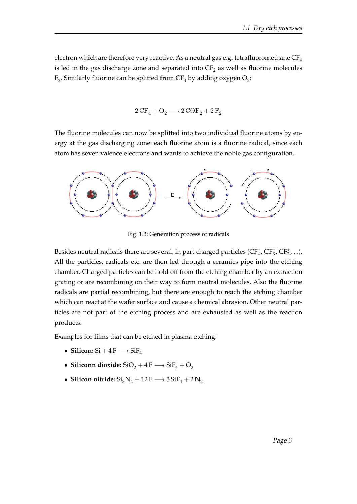electron which are therefore very reactive. As a neutral gas e.g. tetrafluoromethane  $CF_4$ is led in the gas discharge zone and separated into  $\text{CF}_2$  as well as fluorine molecules  $\mathrm{F}_2$ . Similarly fluorine can be splitted from C $\mathrm{F}_4$  by adding oxygen  $\mathrm{O}_2$ :

$$
2\,\mathrm{CF}_4 + \mathrm{O_2} \longrightarrow 2\,\mathrm{COF}_2 + 2\,\mathrm{F}_2
$$

The fluorine molecules can now be splitted into two individual fluorine atoms by energy at the gas discharging zone: each fluorine atom is a fluorine radical, since each atom has seven valence electrons and wants to achieve the noble gas configuration.



Fig. 1.3: Generation process of radicals

Besides neutral radicals there are several, in part charged particles  $(CF_4^+, CF_3^+, CF_2^+, ...)$ . All the particles, radicals etc. are then led through a ceramics pipe into the etching chamber. Charged particles can be hold off from the etching chamber by an extraction grating or are recombining on their way to form neutral molecules. Also the fluorine radicals are partial recombining, but there are enough to reach the etching chamber which can react at the wafer surface and cause a chemical abrasion. Other neutral particles are not part of the etching process and are exhausted as well as the reaction products.

Examples for films that can be etched in plasma etching:

- **Silicon:**  $Si + 4F \rightarrow SiF<sub>4</sub>$
- **Siliconn dioxide:**  $SiO<sub>2</sub> + 4F \rightarrow SiF<sub>4</sub> + O<sub>2</sub>$
- Silicon nitride:  $\mathrm{Si}_3\mathrm{N}_4 + 12\,\mathrm{F} \longrightarrow 3\,\mathrm{SiF}_4 + 2\,\mathrm{N}_2$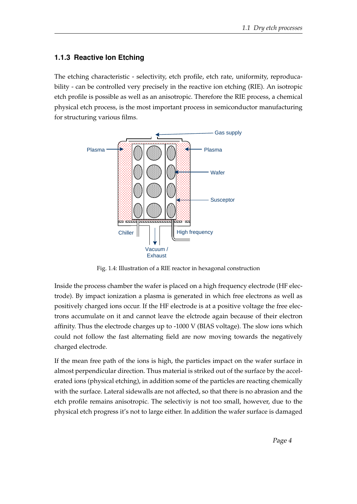### **1.1.3 Reactive Ion Etching**

The etching characteristic - selectivity, etch profile, etch rate, uniformity, reproducability - can be controlled very precisely in the reactive ion etching (RIE). An isotropic etch profile is possible as well as an anisotropic. Therefore the RIE process, a chemical physical etch process, is the most important process in semiconductor manufacturing for structuring various films.



Fig. 1.4: Illustration of a RIE reactor in hexagonal construction

Inside the process chamber the wafer is placed on a high frequency electrode (HF electrode). By impact ionization a plasma is generated in which free electrons as well as positively charged ions occur. If the HF electrode is at a positive voltage the free electrons accumulate on it and cannot leave the elctrode again because of their electron affinity. Thus the electrode charges up to -1000 V (BIAS voltage). The slow ions which could not follow the fast alternating field are now moving towards the negatively charged electrode.

If the mean free path of the ions is high, the particles impact on the wafer surface in almost perpendicular direction. Thus material is striked out of the surface by the accelerated ions (physical etching), in addition some of the particles are reacting chemically with the surface. Lateral sidewalls are not affected, so that there is no abrasion and the etch profile remains anisotropic. The selectiviy is not too small, however, due to the physical etch progress it's not to large either. In addition the wafer surface is damaged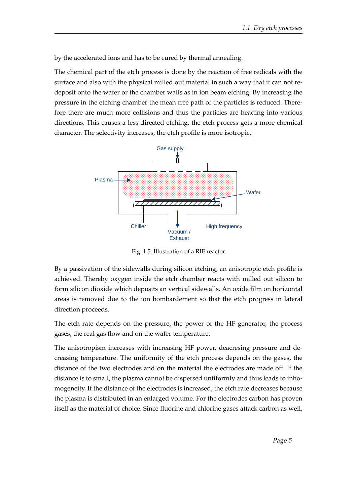by the accelerated ions and has to be cured by thermal annealing.

The chemical part of the etch process is done by the reaction of free redicals with the surface and also with the physical milled out material in such a way that it can not redeposit onto the wafer or the chamber walls as in ion beam etching. By increasing the pressure in the etching chamber the mean free path of the particles is reduced. Therefore there are much more collisions and thus the particles are heading into various directions. This causes a less directed etching, the etch process gets a more chemical character. The selectivity increases, the etch profile is more isotropic.



Fig. 1.5: Illustration of a RIE reactor

By a passivation of the sidewalls during silicon etching, an anisotropic etch profile is achieved. Thereby oxygen inside the etch chamber reacts with milled out silicon to form silicon dioxide which deposits an vertical sidewalls. An oxide film on horizontal areas is removed due to the ion bombardement so that the etch progress in lateral direction proceeds.

The etch rate depends on the pressure, the power of the HF generator, the process gases, the real gas flow and on the wafer temperature.

The anisotropism increases with increasing HF power, deacresing pressure and decreasing temperature. The uniformity of the etch process depends on the gases, the distance of the two electrodes and on the material the electrodes are made off. If the distance is to small, the plasma cannot be dispersed unfiformly and thus leads to inhomogeneity. If the distance of the electrodes is increased, the etch rate decreases because the plasma is distributed in an enlarged volume. For the electrodes carbon has proven itself as the material of choice. Since fluorine and chlorine gases attack carbon as well,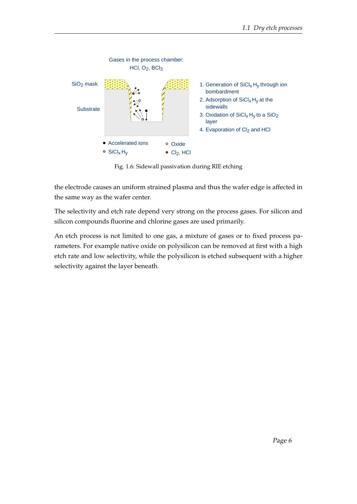

Fig. 1.6: Sidewall passivation during RIE etching

the electrode causes an uniform strained plasma and thus the wafer edge is affected in the same way as the wafer center.

The selectivity and etch rate depend very strong on the process gases. For silicon and silicon compounds fluorine and chlorine gases are used primarily.

An etch process is not limited to one gas, a mixture of gases or to fixed process parameters. For example native oxide on polysilicon can be removed at first with a high etch rate and low selectivity, while the polysilicon is etched subsequent with a higher selectivity against the layer beneath.